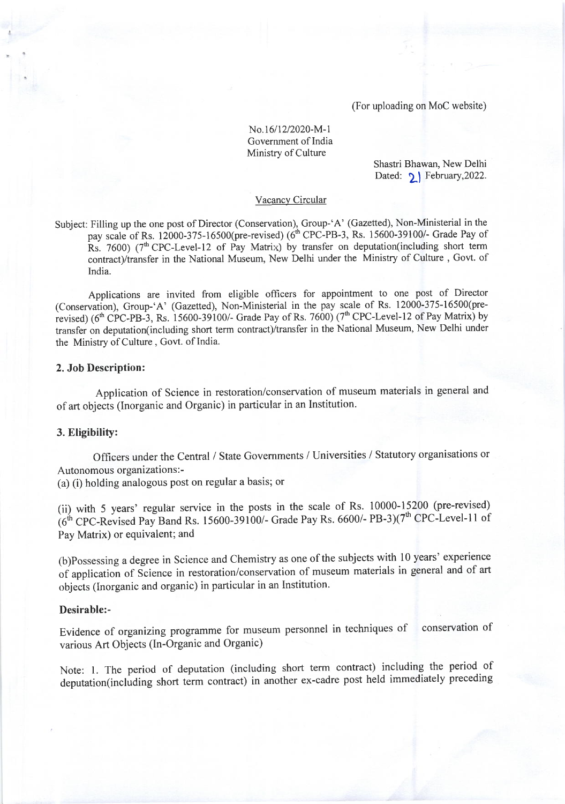(For uploading on MoC website)

# No.16/12/2020-M-1 Government of India Ministry of Culture

Shastri Bhawan, New Delhi Dated:  $\sqrt{}$  February, 2022.

### Vacancy Circular

Subject: Filling up the one post of Director (Conservation), Group-'A' (Gazetted), Non-Ministerial in the pay scale of Rs. 12000-375-16500(pre-revised) ( $6<sup>th</sup>$  CPC-PB-3, Rs. 15600-39100/- Grade Pay of Rs. 7600) ( $7<sup>th</sup>$  CPC-Level-12 of Pay Matrix) by transfer on deputation(including short term contract)/transfer in the National Museum, New Delhi under the Ministry of Culture, Govt. of India.

Applications are invited from eligible officers for appointment to one post of Director (Conservation), Group-'A' (Gazetted), Non-Ministerial in the pay scale of Rs. 12000-375-16500(prerevised) ( $6<sup>th</sup>$  CPC-PB-3, Rs. 15600-39100/- Grade Pay of Rs. 7600) ( $7<sup>th</sup>$  CPC-Level-12 of Pay Matrix) by transfer on deputation(including short term contract)/transfer in the National Museum, New Delhi under the Ministry of Culture, Govt. of India.

### 2. Job Description:

Application of Science in restoration/conservation of museum materials in general and of art objects (Inorganic and Organic) in particular in an Institution.

#### 3. Eligibility:

Officers under the Central / State Governments / Universities / Statutory organisations or Autonomous organizations : -

(a) (i) holding analogous post on regular a basis; or

(ii) with 5 years' regular service in the posts in the scale of Rs. 10000-15200 (pre-revised)  $(6^{th}$  CPC-Revised Pay Band Rs. 15600-39100/- Grade Pay Rs. 6600/- PB-3)(7<sup>th</sup> CPC-Level-11 of Pay Matrix) or equivalent; and

(b)possessing a degree in Science and Chemistry as one of the subjects with l0 years' experience of application of Science in restoration/conservation of museum materials in general and of art objects (lnorganic and organic) in particular in an Institution.

#### Desirable:-

Evidence of organizing programme for museum personnel in techniques of conservation of various Art Objects (ln-Organic and Organic)

Note: l. The period of deputation (including short term contract) including the period of deputation(including short term contract) in another ex-cadre post held immediately preceding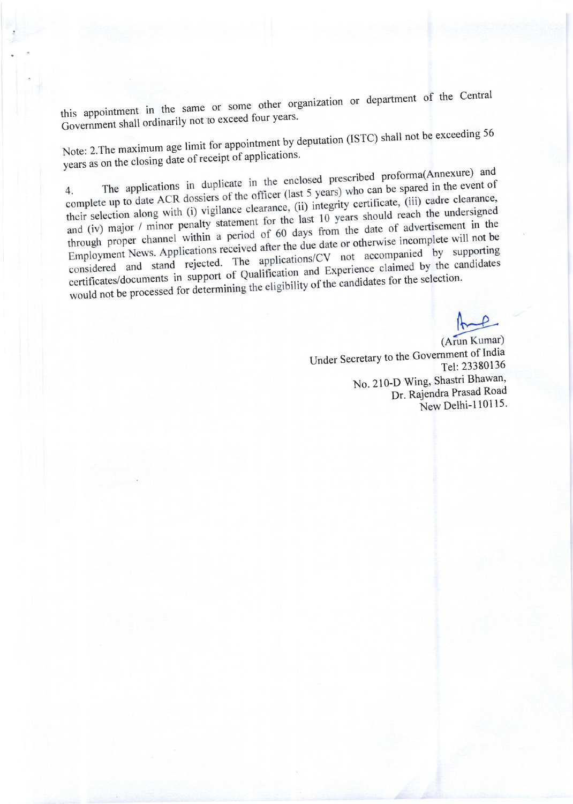this appointment in the same or some other organization or department of the Central Government shall ordinarily not to exceed four years.

Note: 2. The maximum age limit for appointment by deputation (ISTC) shall not be exceeding 56 years as on the closing date of receipt of applications.

The applications in duplicate in the enclosed prescribed proforma(Annexure) and complete up to date ACR dossiers of the officer (last 5 years) who can be spared in the event of their selection along with (i) vigilance clearance, (ii) integrity certificate, (iii) cadre clearance, and (iv) major / minor penalty statement for the last 10 years should reach the undersigned through proper channel within a period of 60 days from the date of advertisement in the Employment News. Applications received after the due date or otherwise incomplete will not be considered and stand rejected. The applications/CV not accompanied by supporting certificates/documents in support of Qualification and Experience claimed by the candidates would not be processed for determining the eligibility of the candidates for the selection.

(Arun Kumar) Under Secretary to the Government of India Tel: 23380136 No. 210-D Wing, Shastri Bhawan, Dr. Rajendra Prasad Road New Delhi-110115.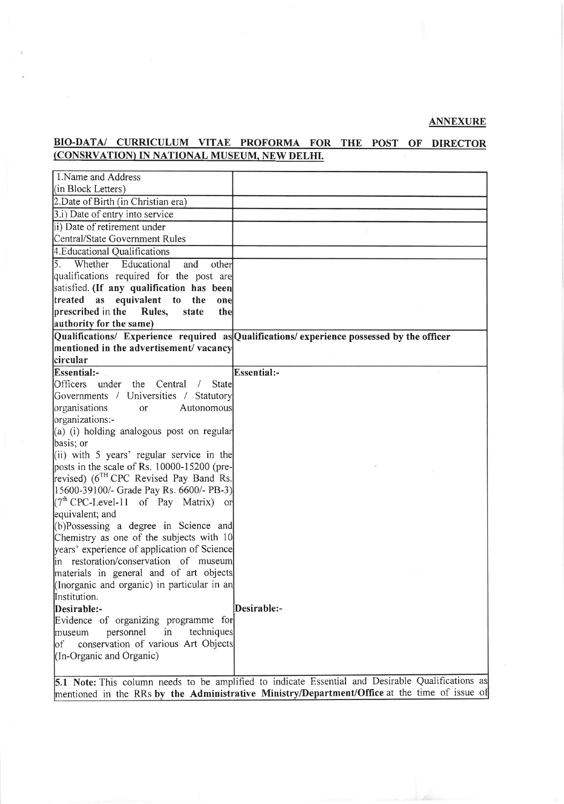## ANNEXURE

# BIO-DATA/ CURRICULUM VITAE PROFORMA FOR THE POST OF DIRECTOR (CONSRVATION) IN NATIONAL MUSEUM, NEW DELHI.

| 1. Name and Address                                                                      |                                                                                                   |
|------------------------------------------------------------------------------------------|---------------------------------------------------------------------------------------------------|
| (in Block Letters)                                                                       |                                                                                                   |
| 2. Date of Birth (in Christian era)                                                      |                                                                                                   |
| 3.i) Date of entry into service                                                          |                                                                                                   |
| ii) Date of retirement under                                                             |                                                                                                   |
| Central/State Government Rules                                                           |                                                                                                   |
| 4. Educational Qualifications                                                            |                                                                                                   |
| 5. Whether<br>Educational<br>and<br>other                                                |                                                                                                   |
| qualifications required for the post are                                                 |                                                                                                   |
| satisfied. (If any qualification has been                                                |                                                                                                   |
| treated as equivalent to<br>the<br>one                                                   |                                                                                                   |
| prescribed in the<br>Rules,<br>state<br>the                                              |                                                                                                   |
| authority for the same)                                                                  |                                                                                                   |
|                                                                                          | Qualifications/ Experience required as Qualifications/ experience possessed by the officer        |
| mentioned in the advertisement/vacancy                                                   |                                                                                                   |
| circular                                                                                 |                                                                                                   |
| Essential:-                                                                              | Essential:-                                                                                       |
| Officers<br>the<br>under<br>Central<br>State<br>$\prime$                                 |                                                                                                   |
| Governments / Universities /<br>Statutory                                                |                                                                                                   |
| organisations<br>Autonomous<br><sub>or</sub>                                             |                                                                                                   |
| organizations:-                                                                          |                                                                                                   |
| (a) (i) holding analogous post on regular                                                |                                                                                                   |
| basis; or                                                                                |                                                                                                   |
| (ii) with 5 years' regular service in the<br>posts in the scale of Rs. 10000-15200 (pre- |                                                                                                   |
| revised) (6 <sup>TH</sup> CPC Revised Pay Band Rs.                                       |                                                                                                   |
| [15600-39100/- Grade Pay Rs. 6600/- PB-3]                                                |                                                                                                   |
| $[(7th CPC-Level-11$ of Pay Matrix) or                                                   |                                                                                                   |
| equivalent; and                                                                          |                                                                                                   |
| (b)Possessing a degree in Science and                                                    |                                                                                                   |
| Chemistry as one of the subjects with 10                                                 |                                                                                                   |
| years' experience of application of Science                                              |                                                                                                   |
| in restoration/conservation of museum                                                    |                                                                                                   |
| materials in general and of art objects                                                  |                                                                                                   |
| (Inorganic and organic) in particular in an                                              |                                                                                                   |
| Institution.                                                                             |                                                                                                   |
| Desirable:-                                                                              | Desirable:-                                                                                       |
| Evidence of organizing programme for                                                     |                                                                                                   |
| techniques<br>personnel<br>in<br>museum                                                  |                                                                                                   |
| conservation of various Art Objects<br> of                                               |                                                                                                   |
| (In-Organic and Organic)                                                                 |                                                                                                   |
|                                                                                          | 5.1 Note: This column needs to be applified to indicate Essential and Desirable Qualifications as |
|                                                                                          |                                                                                                   |

5.1 Note: This column needs to be amplified to indicate Essential and Desirable Qualifications as mentioned in the RRs by the Administrative Ministry/Department/Office at the time of issue of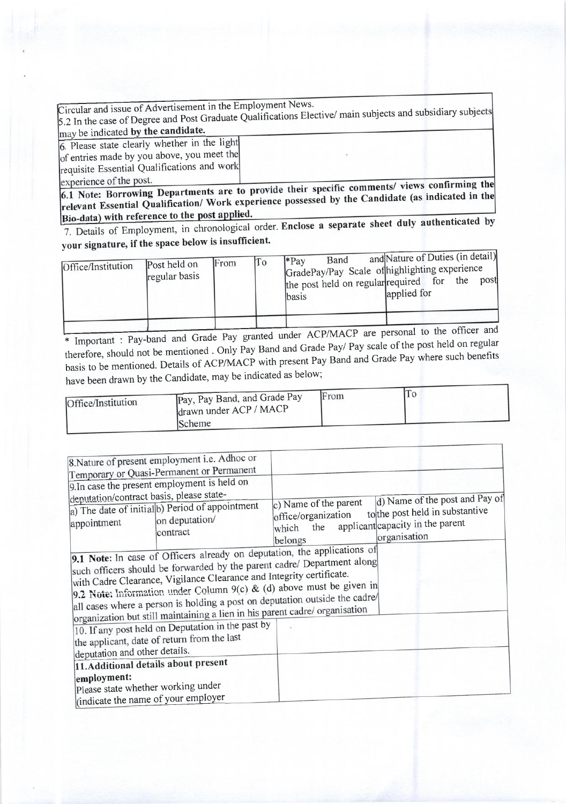| Circular and issue of Advertisement in the Employment News.<br>5.2 In the case of Degree and Post Graduate Qualifications Elective/ main subjects and subsidiary subjects |  |
|---------------------------------------------------------------------------------------------------------------------------------------------------------------------------|--|
| may be indicated by the candidate.                                                                                                                                        |  |
| 6. Please state clearly whether in the light                                                                                                                              |  |
| of entries made by you above, you meet the                                                                                                                                |  |
| requisite Essential Qualifications and work                                                                                                                               |  |
| experience of the nost                                                                                                                                                    |  |

6.1 Note: Borrowing Departments are to provide their specific comments/ views confirming the relevant Essential Qualification/ Work experience possessed by the Candidate (as indicated in the Bio-data) with reference to the post applied.

7. Details of Employment, in chronological order. Enclose a separate sheet duly authenticated by your signature, if the space below is insufficient.

| Office/Institution | Post held on<br>regular basis | lFrom | To | l*Pav<br>lbasis | Band | and Nature of Duties (in detail)<br>GradePay/Pay Scale of highlighting experience<br>the post held on regular required for the<br>applied for |  | post |
|--------------------|-------------------------------|-------|----|-----------------|------|-----------------------------------------------------------------------------------------------------------------------------------------------|--|------|
|                    |                               |       |    |                 |      |                                                                                                                                               |  |      |

\* Important : Pay-band and Grade Pay granted under ACP/MACP are personal to the officer and therefore, should not be mentioned . Only Pay Band and Grade Pay/ Pay scale of the post held on regular basis to be mentioned. Details of ACP/MACP with present Pay Band and Grade Pay where such benefits have been drawn by the Candidate, may be indicated as below;

| Office/Institution | Pay, Pay Band, and Grade Pay<br>drawn under ACP / MACP | From | 1 Q |
|--------------------|--------------------------------------------------------|------|-----|
|                    | Scheme                                                 |      |     |

|                               | 8. Nature of present employment i.e. Adhoc or<br>Temporary or Quasi-Permanent or Permanent<br>9. In case the present employment is held on                                                                                                                                                                                                                                                                                                                        |                                                                         |                                                                                                                       |
|-------------------------------|-------------------------------------------------------------------------------------------------------------------------------------------------------------------------------------------------------------------------------------------------------------------------------------------------------------------------------------------------------------------------------------------------------------------------------------------------------------------|-------------------------------------------------------------------------|-----------------------------------------------------------------------------------------------------------------------|
| appointment                   | deputation/contract basis, please state-<br>a) The date of initial b) Period of appointment<br>on deputation/<br>contract                                                                                                                                                                                                                                                                                                                                         | c) Name of the parent<br>office/organization<br>the<br>which<br>belongs | d) Name of the post and Pay of<br>to the post held in substantive<br>applicant capacity in the parent<br>organisation |
|                               | 9.1 Note: In case of Officers already on deputation, the applications of<br>such officers should be forwarded by the parent cadre/ Department along<br>with Cadre Clearance, Vigilance Clearance and Integrity certificate.<br>9.2 Note: Information under Column 9(c) & (d) above must be given in<br>all cases where a person is holding a post on deputation outside the cadre/<br>organization but still maintaining a lien in his parent cadre/ organisation |                                                                         |                                                                                                                       |
| deputation and other details. | 10. If any post held on Deputation in the past by<br>the applicant, date of return from the last                                                                                                                                                                                                                                                                                                                                                                  |                                                                         |                                                                                                                       |
| employment:                   | 11. Additional details about present<br>Please state whether working under<br>lindicate the name of your employer                                                                                                                                                                                                                                                                                                                                                 |                                                                         |                                                                                                                       |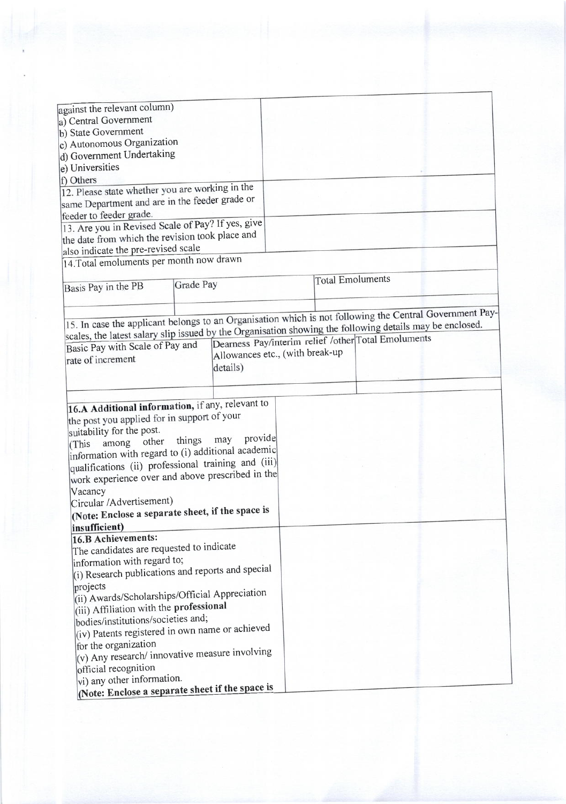| against the relevant column)                                                                             |                                 |                         |                                                     |  |
|----------------------------------------------------------------------------------------------------------|---------------------------------|-------------------------|-----------------------------------------------------|--|
| a) Central Government                                                                                    |                                 |                         |                                                     |  |
| b) State Government                                                                                      |                                 |                         |                                                     |  |
| c) Autonomous Organization                                                                               |                                 |                         |                                                     |  |
| d) Government Undertaking                                                                                |                                 |                         |                                                     |  |
| e) Universities                                                                                          |                                 |                         |                                                     |  |
| f) Others                                                                                                |                                 |                         |                                                     |  |
| 12. Please state whether you are working in the                                                          |                                 |                         |                                                     |  |
| same Department and are in the feeder grade or                                                           |                                 |                         |                                                     |  |
| feeder to feeder grade.                                                                                  |                                 |                         |                                                     |  |
| 13. Are you in Revised Scale of Pay? If yes, give                                                        |                                 |                         |                                                     |  |
| the date from which the revision took place and                                                          |                                 |                         |                                                     |  |
| also indicate the pre-revised scale                                                                      |                                 |                         |                                                     |  |
| 14. Total emoluments per month now drawn                                                                 |                                 |                         |                                                     |  |
|                                                                                                          |                                 |                         |                                                     |  |
| Grade Pay<br>Basis Pay in the PB                                                                         |                                 | <b>Total Emoluments</b> |                                                     |  |
|                                                                                                          |                                 |                         |                                                     |  |
|                                                                                                          |                                 |                         |                                                     |  |
| 15. In case the applicant belongs to an Organisation which is not following the Central Government Pay-  |                                 |                         |                                                     |  |
| scales, the latest salary slip issued by the Organisation showing the following details may be enclosed. |                                 |                         |                                                     |  |
| Basic Pay with Scale of Pay and                                                                          |                                 |                         | Dearness Pay/interim relief /other Total Emoluments |  |
|                                                                                                          | Allowances etc., (with break-up |                         |                                                     |  |
| rate of increment<br>details)                                                                            |                                 |                         |                                                     |  |
|                                                                                                          |                                 |                         |                                                     |  |
|                                                                                                          |                                 |                         |                                                     |  |
|                                                                                                          |                                 |                         |                                                     |  |
| 16.A Additional information, if any, relevant to                                                         |                                 |                         |                                                     |  |
| the post you applied for in support of your                                                              |                                 |                         |                                                     |  |
| suitability for the post.                                                                                |                                 |                         |                                                     |  |
| may<br>things<br>other<br>among<br>(This                                                                 | provide                         |                         |                                                     |  |
| information with regard to (i) additional academic                                                       |                                 |                         |                                                     |  |
| qualifications (ii) professional training and (iii)                                                      |                                 |                         |                                                     |  |
| work experience over and above prescribed in the                                                         |                                 |                         |                                                     |  |
| Vacancy                                                                                                  |                                 |                         |                                                     |  |
| Circular /Advertisement)                                                                                 |                                 |                         |                                                     |  |
| (Note: Enclose a separate sheet, if the space is                                                         |                                 |                         |                                                     |  |
| insufficient)                                                                                            |                                 |                         |                                                     |  |
| 16.B Achievements:                                                                                       |                                 |                         |                                                     |  |
| The candidates are requested to indicate                                                                 |                                 |                         |                                                     |  |
| information with regard to;                                                                              |                                 |                         |                                                     |  |
| (i) Research publications and reports and special                                                        |                                 |                         |                                                     |  |
|                                                                                                          |                                 |                         |                                                     |  |
| projects<br>(ii) Awards/Scholarships/Official Appreciation                                               |                                 |                         |                                                     |  |
|                                                                                                          |                                 |                         |                                                     |  |
| (iii) Affiliation with the professional                                                                  |                                 |                         |                                                     |  |
| bodies/institutions/societies and;                                                                       |                                 |                         |                                                     |  |
| (iv) Patents registered in own name or achieved                                                          |                                 |                         |                                                     |  |
| for the organization                                                                                     |                                 |                         |                                                     |  |
| $(v)$ Any research/ innovative measure involving                                                         |                                 |                         |                                                     |  |
| official recognition                                                                                     |                                 |                         |                                                     |  |
|                                                                                                          |                                 |                         |                                                     |  |
| vi) any other information.<br>(Note: Enclose a separate sheet if the space is                            |                                 |                         |                                                     |  |